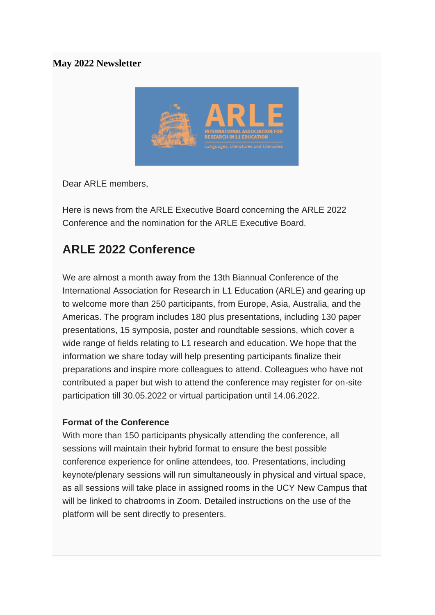### **May 2022 Newsletter**



Dear ARLE members,

Here is news from the ARLE Executive Board concerning the ARLE 2022 Conference and the nomination for the ARLE Executive Board.

# **ARLE 2022 Conference**

We are almost a month away from the 13th Biannual Conference of the International Association for Research in L1 Education (ARLE) and gearing up to welcome more than 250 participants, from Europe, Asia, Australia, and the Americas. The program includes 180 plus presentations, including 130 paper presentations, 15 symposia, poster and roundtable sessions, which cover a wide range of fields relating to L1 research and education. We hope that the information we share today will help presenting participants finalize their preparations and inspire more colleagues to attend. Colleagues who have not contributed a paper but wish to attend the conference may register for on-site participation till 30.05.2022 or virtual participation until 14.06.2022.

#### **Format of the Conference**

With more than 150 participants physically attending the conference, all sessions will maintain their hybrid format to ensure the best possible conference experience for online attendees, too. Presentations, including keynote/plenary sessions will run simultaneously in physical and virtual space, as all sessions will take place in assigned rooms in the UCY New Campus that will be linked to chatrooms in Zoom. Detailed instructions on the use of the platform will be sent directly to presenters.